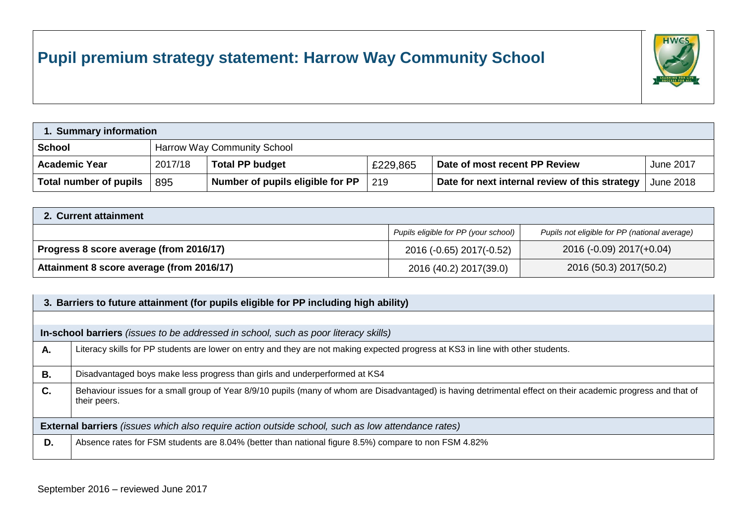## **Pupil premium strategy statement: Harrow Way Community School**



| 1. Summary information |         |                                  |          |                                                |                  |  |
|------------------------|---------|----------------------------------|----------|------------------------------------------------|------------------|--|
| <b>School</b>          |         | Harrow Way Community School      |          |                                                |                  |  |
| <b>Academic Year</b>   | 2017/18 | <b>Total PP budget</b>           | £229,865 | Date of most recent PP Review                  | <b>June 2017</b> |  |
| Total number of pupils | 895     | Number of pupils eligible for PP | 219      | Date for next internal review of this strategy | June 2018        |  |

| 2. Current attainment                     |                                      |                                               |  |  |
|-------------------------------------------|--------------------------------------|-----------------------------------------------|--|--|
|                                           | Pupils eligible for PP (your school) | Pupils not eligible for PP (national average) |  |  |
| Progress 8 score average (from 2016/17)   | 2016 (-0.65) 2017(-0.52)             | 2016 (-0.09) 2017(+0.04)                      |  |  |
| Attainment 8 score average (from 2016/17) | 2016 (40.2) 2017(39.0)               | 2016 (50.3) 2017(50.2)                        |  |  |

|                                                                                                          | 3. Barriers to future attainment (for pupils eligible for PP including high ability)                                                                                          |  |  |  |  |
|----------------------------------------------------------------------------------------------------------|-------------------------------------------------------------------------------------------------------------------------------------------------------------------------------|--|--|--|--|
|                                                                                                          |                                                                                                                                                                               |  |  |  |  |
|                                                                                                          | In-school barriers (issues to be addressed in school, such as poor literacy skills)                                                                                           |  |  |  |  |
| Α.                                                                                                       | Literacy skills for PP students are lower on entry and they are not making expected progress at KS3 in line with other students.                                              |  |  |  |  |
| В.                                                                                                       | Disadvantaged boys make less progress than girls and underperformed at KS4                                                                                                    |  |  |  |  |
| C.                                                                                                       | Behaviour issues for a small group of Year 8/9/10 pupils (many of whom are Disadvantaged) is having detrimental effect on their academic progress and that of<br>their peers. |  |  |  |  |
| <b>External barriers</b> (issues which also require action outside school, such as low attendance rates) |                                                                                                                                                                               |  |  |  |  |
| D.                                                                                                       | Absence rates for FSM students are 8.04% (better than national figure 8.5%) compare to non FSM 4.82%                                                                          |  |  |  |  |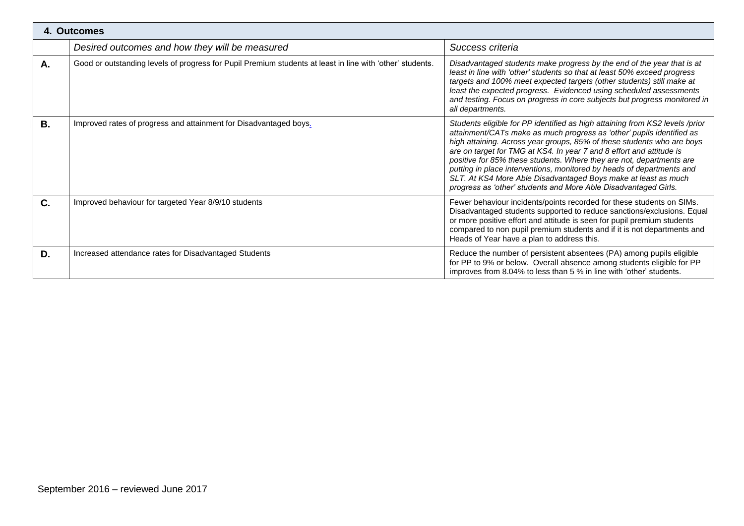|           | 4. Outcomes                                                                                               |                                                                                                                                                                                                                                                                                                                                                                                                                                                                                                                                                                                               |  |  |  |  |
|-----------|-----------------------------------------------------------------------------------------------------------|-----------------------------------------------------------------------------------------------------------------------------------------------------------------------------------------------------------------------------------------------------------------------------------------------------------------------------------------------------------------------------------------------------------------------------------------------------------------------------------------------------------------------------------------------------------------------------------------------|--|--|--|--|
|           | Desired outcomes and how they will be measured                                                            | Success criteria                                                                                                                                                                                                                                                                                                                                                                                                                                                                                                                                                                              |  |  |  |  |
| Α.        | Good or outstanding levels of progress for Pupil Premium students at least in line with 'other' students. | Disadvantaged students make progress by the end of the year that is at<br>least in line with 'other' students so that at least 50% exceed progress<br>targets and 100% meet expected targets (other students) still make at<br>least the expected progress. Evidenced using scheduled assessments<br>and testing. Focus on progress in core subjects but progress monitored in<br>all departments.                                                                                                                                                                                            |  |  |  |  |
| <b>B.</b> | Improved rates of progress and attainment for Disadvantaged boys.                                         | Students eligible for PP identified as high attaining from KS2 levels /prior<br>attainment/CATs make as much progress as 'other' pupils identified as<br>high attaining. Across year groups, 85% of these students who are boys<br>are on target for TMG at KS4. In year 7 and 8 effort and attitude is<br>positive for 85% these students. Where they are not, departments are<br>putting in place interventions, monitored by heads of departments and<br>SLT. At KS4 More Able Disadvantaged Boys make at least as much<br>progress as 'other' students and More Able Disadvantaged Girls. |  |  |  |  |
| C.        | Improved behaviour for targeted Year 8/9/10 students                                                      | Fewer behaviour incidents/points recorded for these students on SIMs.<br>Disadvantaged students supported to reduce sanctions/exclusions. Equal<br>or more positive effort and attitude is seen for pupil premium students<br>compared to non pupil premium students and if it is not departments and<br>Heads of Year have a plan to address this.                                                                                                                                                                                                                                           |  |  |  |  |
| D.        | Increased attendance rates for Disadvantaged Students                                                     | Reduce the number of persistent absentees (PA) among pupils eligible<br>for PP to 9% or below. Overall absence among students eligible for PP<br>improves from 8.04% to less than 5 % in line with 'other' students.                                                                                                                                                                                                                                                                                                                                                                          |  |  |  |  |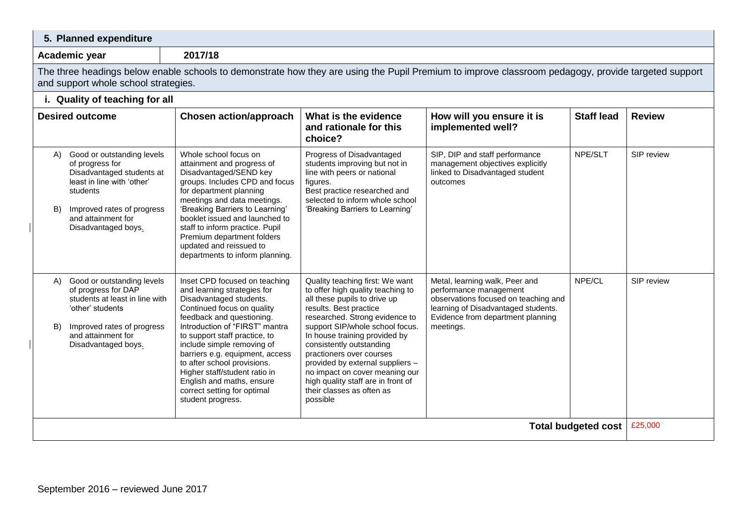| 5. Planned expenditure                                                                                                                                                                                      |                                                                                                                                                                                                                                                                                                                                                                                                                                         |                                                                                                                                                                                                                                                                                                                                                                                                                                                   |                                                                                                                                                                                           |                   |               |
|-------------------------------------------------------------------------------------------------------------------------------------------------------------------------------------------------------------|-----------------------------------------------------------------------------------------------------------------------------------------------------------------------------------------------------------------------------------------------------------------------------------------------------------------------------------------------------------------------------------------------------------------------------------------|---------------------------------------------------------------------------------------------------------------------------------------------------------------------------------------------------------------------------------------------------------------------------------------------------------------------------------------------------------------------------------------------------------------------------------------------------|-------------------------------------------------------------------------------------------------------------------------------------------------------------------------------------------|-------------------|---------------|
| 2017/18<br>Academic year                                                                                                                                                                                    |                                                                                                                                                                                                                                                                                                                                                                                                                                         |                                                                                                                                                                                                                                                                                                                                                                                                                                                   |                                                                                                                                                                                           |                   |               |
| The three headings below enable schools to demonstrate how they are using the Pupil Premium to improve classroom pedagogy, provide targeted support<br>and support whole school strategies.                 |                                                                                                                                                                                                                                                                                                                                                                                                                                         |                                                                                                                                                                                                                                                                                                                                                                                                                                                   |                                                                                                                                                                                           |                   |               |
| i. Quality of teaching for all                                                                                                                                                                              |                                                                                                                                                                                                                                                                                                                                                                                                                                         |                                                                                                                                                                                                                                                                                                                                                                                                                                                   |                                                                                                                                                                                           |                   |               |
| <b>Desired outcome</b>                                                                                                                                                                                      | <b>Chosen action/approach</b>                                                                                                                                                                                                                                                                                                                                                                                                           | What is the evidence<br>and rationale for this<br>choice?                                                                                                                                                                                                                                                                                                                                                                                         | How will you ensure it is<br>implemented well?                                                                                                                                            | <b>Staff lead</b> | <b>Review</b> |
| Good or outstanding levels<br>A)<br>of progress for<br>Disadvantaged students at<br>least in line with 'other'<br>students<br>Improved rates of progress<br>B)<br>and attainment for<br>Disadvantaged boys. | Whole school focus on<br>attainment and progress of<br>Disadvantaged/SEND key<br>groups. Includes CPD and focus<br>for department planning<br>meetings and data meetings.<br>'Breaking Barriers to Learning'<br>booklet issued and launched to<br>staff to inform practice. Pupil<br>Premium department folders<br>updated and reissued to<br>departments to inform planning.                                                           | Progress of Disadvantaged<br>students improving but not in<br>line with peers or national<br>figures.<br>Best practice researched and<br>selected to inform whole school<br>'Breaking Barriers to Learning'                                                                                                                                                                                                                                       | SIP, DIP and staff performance<br>management objectives explicitly<br>linked to Disadvantaged student<br>outcomes                                                                         | NPE/SLT           | SIP review    |
| A) Good or outstanding levels<br>of progress for DAP<br>students at least in line with<br>'other' students<br>B)<br>Improved rates of progress<br>and attainment for<br>Disadvantaged boys.                 | Inset CPD focused on teaching<br>and learning strategies for<br>Disadvantaged students.<br>Continued focus on quality<br>feedback and questioning.<br>Introduction of "FIRST" mantra<br>to support staff practice, to<br>include simple removing of<br>barriers e.g. equipment, access<br>to after school provisions.<br>Higher staff/student ratio in<br>English and maths, ensure<br>correct setting for optimal<br>student progress. | Quality teaching first: We want<br>to offer high quality teaching to<br>all these pupils to drive up<br>results. Best practice<br>researched. Strong evidence to<br>support SIP/whole school focus.<br>In house training provided by<br>consistently outstanding<br>practioners over courses<br>provided by external suppliers -<br>no impact on cover meaning our<br>high quality staff are in front of<br>their classes as often as<br>possible | Metal, learning walk, Peer and<br>performance management<br>observations focused on teaching and<br>learning of Disadvantaged students.<br>Evidence from department planning<br>meetings. | NPE/CL            | SIP review    |
| <b>Total budgeted cost</b>                                                                                                                                                                                  |                                                                                                                                                                                                                                                                                                                                                                                                                                         |                                                                                                                                                                                                                                                                                                                                                                                                                                                   |                                                                                                                                                                                           |                   | £25,000       |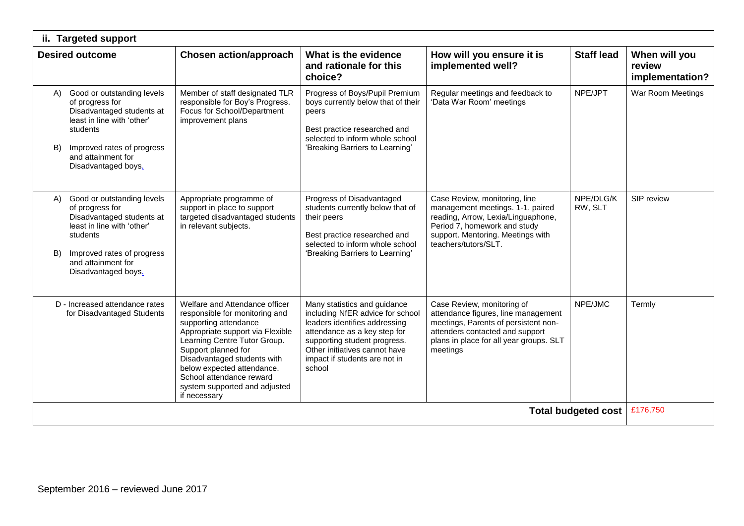| <b>Targeted support</b><br>ii.                                                                                                                                                                               |                                                                                                                                                                                                                                                                                                                                |                                                                                                                                                                                                                                               |                                                                                                                                                                                                      |                      |                                            |
|--------------------------------------------------------------------------------------------------------------------------------------------------------------------------------------------------------------|--------------------------------------------------------------------------------------------------------------------------------------------------------------------------------------------------------------------------------------------------------------------------------------------------------------------------------|-----------------------------------------------------------------------------------------------------------------------------------------------------------------------------------------------------------------------------------------------|------------------------------------------------------------------------------------------------------------------------------------------------------------------------------------------------------|----------------------|--------------------------------------------|
| <b>Desired outcome</b>                                                                                                                                                                                       | <b>Chosen action/approach</b>                                                                                                                                                                                                                                                                                                  | What is the evidence<br>and rationale for this<br>choice?                                                                                                                                                                                     | How will you ensure it is<br>implemented well?                                                                                                                                                       | <b>Staff lead</b>    | When will you<br>review<br>implementation? |
| Good or outstanding levels<br>(A)<br>of progress for<br>Disadvantaged students at<br>least in line with 'other'<br>students<br>Improved rates of progress<br>B)<br>and attainment for<br>Disadvantaged boys. | Member of staff designated TLR<br>responsible for Boy's Progress.<br>Focus for School/Department<br>improvement plans                                                                                                                                                                                                          | Progress of Boys/Pupil Premium<br>boys currently below that of their<br>peers<br>Best practice researched and<br>selected to inform whole school<br>'Breaking Barriers to Learning'                                                           | Regular meetings and feedback to<br>'Data War Room' meetings                                                                                                                                         | NPE/JPT              | War Room Meetings                          |
| Good or outstanding levels<br>A)<br>of progress for<br>Disadvantaged students at<br>least in line with 'other'<br>students<br>Improved rates of progress<br>B)<br>and attainment for<br>Disadvantaged boys.  | Appropriate programme of<br>support in place to support<br>targeted disadvantaged students<br>in relevant subjects.                                                                                                                                                                                                            | Progress of Disadvantaged<br>students currently below that of<br>their peers<br>Best practice researched and<br>selected to inform whole school<br>'Breaking Barriers to Learning'                                                            | Case Review, monitoring, line<br>management meetings. 1-1, paired<br>reading, Arrow, Lexia/Linguaphone,<br>Period 7, homework and study<br>support. Mentoring. Meetings with<br>teachers/tutors/SLT. | NPE/DLG/K<br>RW, SLT | SIP review                                 |
| D - Increased attendance rates<br>for Disadvantaged Students                                                                                                                                                 | Welfare and Attendance officer<br>responsible for monitoring and<br>supporting attendance<br>Appropriate support via Flexible<br>Learning Centre Tutor Group.<br>Support planned for<br>Disadvantaged students with<br>below expected attendance.<br>School attendance reward<br>system supported and adjusted<br>if necessary | Many statistics and guidance<br>including NfER advice for school<br>leaders identifies addressing<br>attendance as a key step for<br>supporting student progress.<br>Other initiatives cannot have<br>impact if students are not in<br>school | Case Review, monitoring of<br>attendance figures, line management<br>meetings, Parents of persistent non-<br>attenders contacted and support<br>plans in place for all year groups. SLT<br>meetings  | NPE/JMC              | Termly                                     |
| <b>Total budgeted cost</b>                                                                                                                                                                                   |                                                                                                                                                                                                                                                                                                                                |                                                                                                                                                                                                                                               |                                                                                                                                                                                                      | £176,750             |                                            |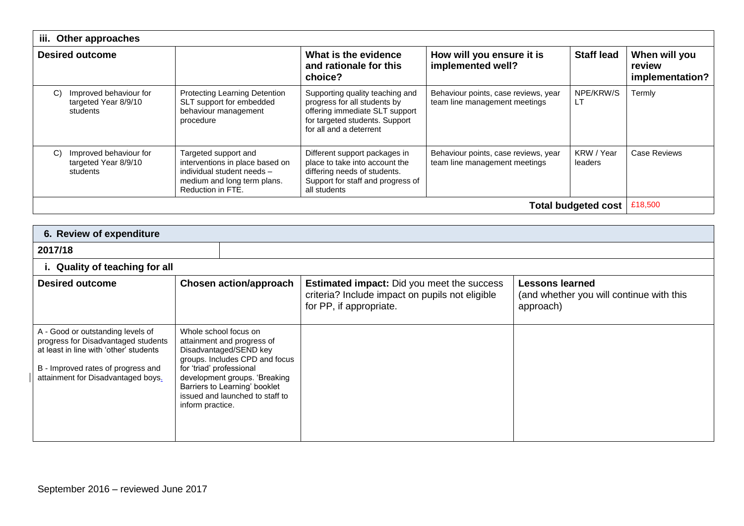| iii.                | Other approaches                                           |                                                                                                                                           |                                                                                                                                                                |                                                                       |                       |                                            |
|---------------------|------------------------------------------------------------|-------------------------------------------------------------------------------------------------------------------------------------------|----------------------------------------------------------------------------------------------------------------------------------------------------------------|-----------------------------------------------------------------------|-----------------------|--------------------------------------------|
|                     | <b>Desired outcome</b>                                     |                                                                                                                                           | What is the evidence<br>and rationale for this<br>choice?                                                                                                      | How will you ensure it is<br>implemented well?                        | <b>Staff lead</b>     | When will you<br>review<br>implementation? |
| C)                  | Improved behaviour for<br>targeted Year 8/9/10<br>students | Protecting Learning Detention<br>SLT support for embedded<br>behaviour management<br>procedure                                            | Supporting quality teaching and<br>progress for all students by<br>offering immediate SLT support<br>for targeted students. Support<br>for all and a deterrent | Behaviour points, case reviews, year<br>team line management meetings | NPE/KRW/S<br>LI       | Termly                                     |
| C)                  | Improved behaviour for<br>targeted Year 8/9/10<br>students | Targeted support and<br>interventions in place based on<br>individual student needs -<br>medium and long term plans.<br>Reduction in FTE. | Different support packages in<br>place to take into account the<br>differing needs of students.<br>Support for staff and progress of<br>all students           | Behaviour points, case reviews, year<br>team line management meetings | KRW / Year<br>leaders | Case Reviews                               |
| Total budgeted cost |                                                            |                                                                                                                                           |                                                                                                                                                                |                                                                       | £18,500               |                                            |

| 6. Review of expenditure                                                                                                                                                                       |                                                                                                                                                                                                                                                                      |                                                                                                                                 |                                                                                 |  |  |
|------------------------------------------------------------------------------------------------------------------------------------------------------------------------------------------------|----------------------------------------------------------------------------------------------------------------------------------------------------------------------------------------------------------------------------------------------------------------------|---------------------------------------------------------------------------------------------------------------------------------|---------------------------------------------------------------------------------|--|--|
| 2017/18                                                                                                                                                                                        |                                                                                                                                                                                                                                                                      |                                                                                                                                 |                                                                                 |  |  |
| i. Quality of teaching for all                                                                                                                                                                 |                                                                                                                                                                                                                                                                      |                                                                                                                                 |                                                                                 |  |  |
| <b>Desired outcome</b>                                                                                                                                                                         | <b>Chosen action/approach</b>                                                                                                                                                                                                                                        | <b>Estimated impact:</b> Did you meet the success<br>criteria? Include impact on pupils not eligible<br>for PP, if appropriate. | <b>Lessons learned</b><br>(and whether you will continue with this<br>approach) |  |  |
| A - Good or outstanding levels of<br>progress for Disadvantaged students<br>at least in line with 'other' students<br>B - Improved rates of progress and<br>attainment for Disadvantaged boys. | Whole school focus on<br>attainment and progress of<br>Disadvantaged/SEND key<br>groups. Includes CPD and focus<br>for 'triad' professional<br>development groups. 'Breaking<br>Barriers to Learning' booklet<br>issued and launched to staff to<br>inform practice. |                                                                                                                                 |                                                                                 |  |  |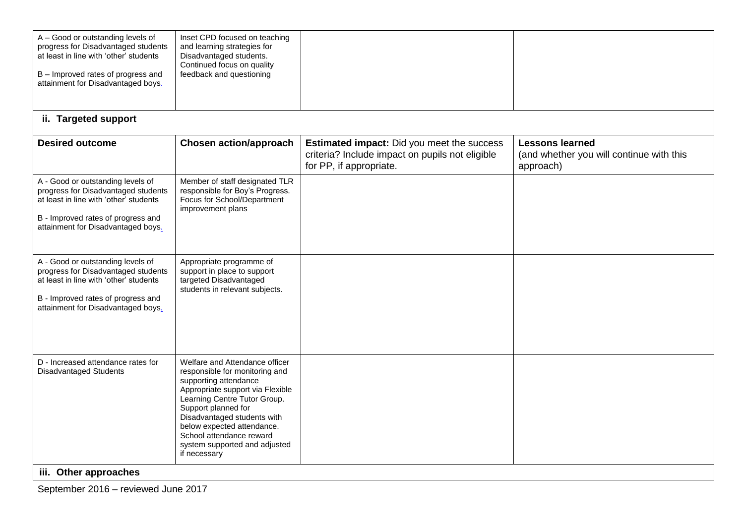| A - Good or outstanding levels of<br>progress for Disadvantaged students<br>at least in line with 'other' students<br>B - Improved rates of progress and<br>attainment for Disadvantaged boys. | Inset CPD focused on teaching<br>and learning strategies for<br>Disadvantaged students.<br>Continued focus on quality<br>feedback and questioning                                                                                                                                                                              |                                                                                                                                 |                                                                                 |
|------------------------------------------------------------------------------------------------------------------------------------------------------------------------------------------------|--------------------------------------------------------------------------------------------------------------------------------------------------------------------------------------------------------------------------------------------------------------------------------------------------------------------------------|---------------------------------------------------------------------------------------------------------------------------------|---------------------------------------------------------------------------------|
| ii. Targeted support                                                                                                                                                                           |                                                                                                                                                                                                                                                                                                                                |                                                                                                                                 |                                                                                 |
| <b>Desired outcome</b>                                                                                                                                                                         | <b>Chosen action/approach</b>                                                                                                                                                                                                                                                                                                  | <b>Estimated impact:</b> Did you meet the success<br>criteria? Include impact on pupils not eligible<br>for PP, if appropriate. | <b>Lessons learned</b><br>(and whether you will continue with this<br>approach) |
| A - Good or outstanding levels of<br>progress for Disadvantaged students<br>at least in line with 'other' students<br>B - Improved rates of progress and<br>attainment for Disadvantaged boys. | Member of staff designated TLR<br>responsible for Boy's Progress.<br>Focus for School/Department<br>improvement plans                                                                                                                                                                                                          |                                                                                                                                 |                                                                                 |
| A - Good or outstanding levels of<br>progress for Disadvantaged students<br>at least in line with 'other' students<br>B - Improved rates of progress and<br>attainment for Disadvantaged boys. | Appropriate programme of<br>support in place to support<br>targeted Disadvantaged<br>students in relevant subjects.                                                                                                                                                                                                            |                                                                                                                                 |                                                                                 |
| D - Increased attendance rates for<br><b>Disadvantaged Students</b><br>iii. Other approaches                                                                                                   | Welfare and Attendance officer<br>responsible for monitoring and<br>supporting attendance<br>Appropriate support via Flexible<br>Learning Centre Tutor Group.<br>Support planned for<br>Disadvantaged students with<br>below expected attendance.<br>School attendance reward<br>system supported and adjusted<br>if necessary |                                                                                                                                 |                                                                                 |

September 2016 – reviewed June 2017